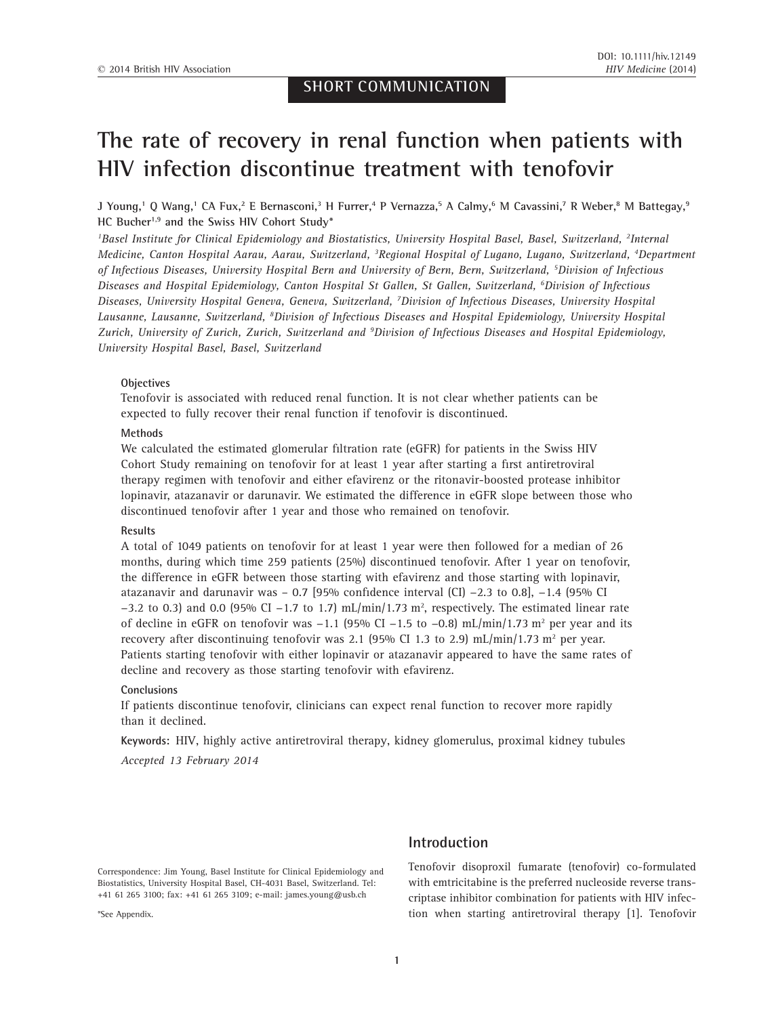## **SHORT COMMUNICATION**

# **The rate of recovery in renal function when patients with HIV infection discontinue treatment with tenofovir**

**J Young,1 Q Wang,1 CA Fux,2 E Bernasconi,3 H Furrer,4 P Vernazza,5 A Calmy,6 M Cavassini,7 R Weber,8 M Battegay,9 HC Bucher1,9 and the Swiss HIV Cohort Study\***

*1 Basel Institute for Clinical Epidemiology and Biostatistics, University Hospital Basel, Basel, Switzerland, <sup>2</sup> Internal Medicine, Canton Hospital Aarau, Aarau, Switzerland, <sup>3</sup> Regional Hospital of Lugano, Lugano, Switzerland, <sup>4</sup> Department of Infectious Diseases, University Hospital Bern and University of Bern, Bern, Switzerland, <sup>5</sup> Division of Infectious Diseases and Hospital Epidemiology, Canton Hospital St Gallen, St Gallen, Switzerland, <sup>6</sup> Division of Infectious Diseases, University Hospital Geneva, Geneva, Switzerland, <sup>7</sup> Division of Infectious Diseases, University Hospital Lausanne, Lausanne, Switzerland, <sup>8</sup> Division of Infectious Diseases and Hospital Epidemiology, University Hospital Zurich, University of Zurich, Zurich, Switzerland and <sup>9</sup> Division of Infectious Diseases and Hospital Epidemiology, University Hospital Basel, Basel, Switzerland*

#### **Objectives**

Tenofovir is associated with reduced renal function. It is not clear whether patients can be expected to fully recover their renal function if tenofovir is discontinued.

#### **Methods**

We calculated the estimated glomerular filtration rate (eGFR) for patients in the Swiss HIV Cohort Study remaining on tenofovir for at least 1 year after starting a first antiretroviral therapy regimen with tenofovir and either efavirenz or the ritonavir-boosted protease inhibitor lopinavir, atazanavir or darunavir. We estimated the difference in eGFR slope between those who discontinued tenofovir after 1 year and those who remained on tenofovir.

#### **Results**

A total of 1049 patients on tenofovir for at least 1 year were then followed for a median of 26 months, during which time 259 patients (25%) discontinued tenofovir. After 1 year on tenofovir, the difference in eGFR between those starting with efavirenz and those starting with lopinavir, atazanavir and darunavir was – 0.7 [95% confidence interval (CI) −2.3 to 0.8], −1.4 (95% CI  $-3.2$  to 0.3) and 0.0 (95% CI  $-1.7$  to 1.7) mL/min/1.73 m<sup>2</sup>, respectively. The estimated linear rate of decline in eGFR on tenofovir was  $-1.1$  (95% CI  $-1.5$  to  $-0.8$ ) mL/min/1.73 m<sup>2</sup> per year and its recovery after discontinuing tenofovir was 2.1 (95% CI 1.3 to 2.9)  $mL/min/1.73$  m<sup>2</sup> per year. Patients starting tenofovir with either lopinavir or atazanavir appeared to have the same rates of decline and recovery as those starting tenofovir with efavirenz.

#### **Conclusions**

If patients discontinue tenofovir, clinicians can expect renal function to recover more rapidly than it declined.

**Keywords:** HIV, highly active antiretroviral therapy, kidney glomerulus, proximal kidney tubules

*Accepted 13 February 2014*

Correspondence: Jim Young, Basel Institute for Clinical Epidemiology and Biostatistics, University Hospital Basel, CH-4031 Basel, Switzerland. Tel: +41 61 265 3100; fax: +41 61 265 3109; e-mail: [james.young@usb.ch](mailto:james.young@usb.ch)

\*See Appendix.

## **Introduction**

Tenofovir disoproxil fumarate (tenofovir) co-formulated with emtricitabine is the preferred nucleoside reverse transcriptase inhibitor combination for patients with HIV infection when starting antiretroviral therapy [1]. Tenofovir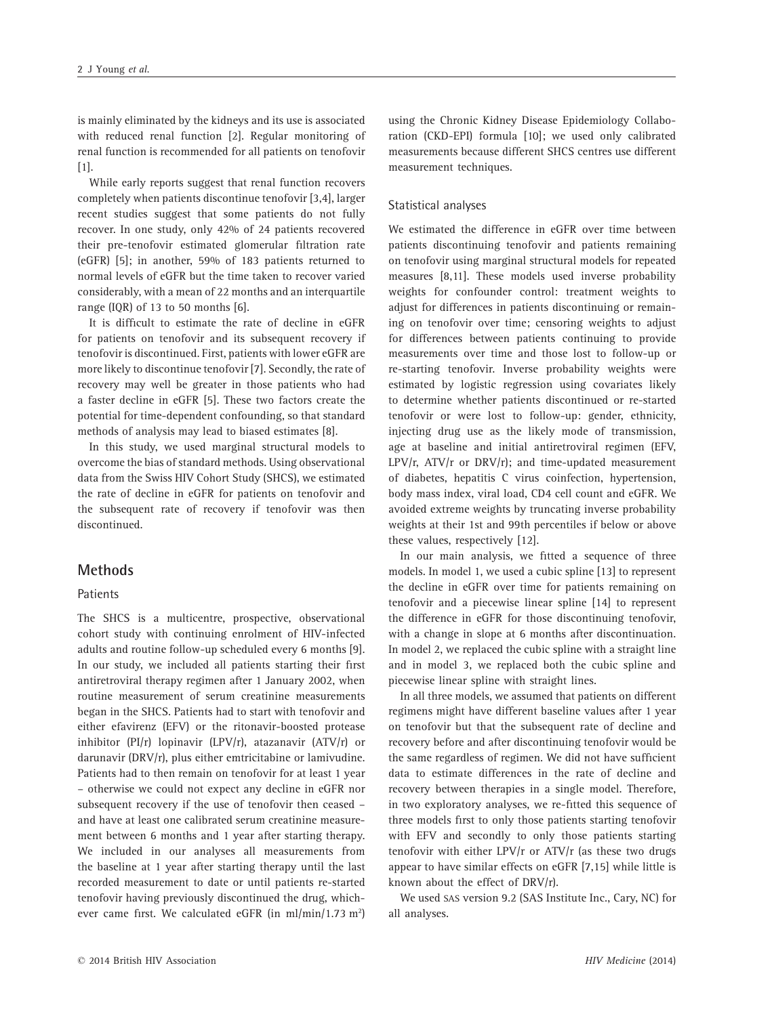is mainly eliminated by the kidneys and its use is associated with reduced renal function [2]. Regular monitoring of renal function is recommended for all patients on tenofovir [1].

While early reports suggest that renal function recovers completely when patients discontinue tenofovir [3,4], larger recent studies suggest that some patients do not fully recover. In one study, only 42% of 24 patients recovered their pre-tenofovir estimated glomerular filtration rate (eGFR) [5]; in another, 59% of 183 patients returned to normal levels of eGFR but the time taken to recover varied considerably, with a mean of 22 months and an interquartile range (IQR) of 13 to 50 months  $[6]$ .

It is difficult to estimate the rate of decline in eGFR for patients on tenofovir and its subsequent recovery if tenofovir is discontinued. First, patients with lower eGFR are more likely to discontinue tenofovir [7]. Secondly, the rate of recovery may well be greater in those patients who had a faster decline in eGFR [5]. These two factors create the potential for time-dependent confounding, so that standard methods of analysis may lead to biased estimates [8].

In this study, we used marginal structural models to overcome the bias of standard methods. Using observational data from the Swiss HIV Cohort Study (SHCS), we estimated the rate of decline in eGFR for patients on tenofovir and the subsequent rate of recovery if tenofovir was then discontinued.

#### **Methods**

#### Patients

The SHCS is a multicentre, prospective, observational cohort study with continuing enrolment of HIV-infected adults and routine follow-up scheduled every 6 months [9]. In our study, we included all patients starting their first antiretroviral therapy regimen after 1 January 2002, when routine measurement of serum creatinine measurements began in the SHCS. Patients had to start with tenofovir and either efavirenz (EFV) or the ritonavir-boosted protease inhibitor (PI/r) lopinavir (LPV/r), atazanavir (ATV/r) or darunavir (DRV/r), plus either emtricitabine or lamivudine. Patients had to then remain on tenofovir for at least 1 year – otherwise we could not expect any decline in eGFR nor subsequent recovery if the use of tenofovir then ceased – and have at least one calibrated serum creatinine measurement between 6 months and 1 year after starting therapy. We included in our analyses all measurements from the baseline at 1 year after starting therapy until the last recorded measurement to date or until patients re-started tenofovir having previously discontinued the drug, whichever came first. We calculated eGFR (in ml/min/1.73 m<sup>2</sup>)

using the Chronic Kidney Disease Epidemiology Collaboration (CKD-EPI) formula [10]; we used only calibrated measurements because different SHCS centres use different measurement techniques.

#### Statistical analyses

We estimated the difference in eGFR over time between patients discontinuing tenofovir and patients remaining on tenofovir using marginal structural models for repeated measures [8,11]. These models used inverse probability weights for confounder control: treatment weights to adjust for differences in patients discontinuing or remaining on tenofovir over time; censoring weights to adjust for differences between patients continuing to provide measurements over time and those lost to follow-up or re-starting tenofovir. Inverse probability weights were estimated by logistic regression using covariates likely to determine whether patients discontinued or re-started tenofovir or were lost to follow-up: gender, ethnicity, injecting drug use as the likely mode of transmission, age at baseline and initial antiretroviral regimen (EFV, LPV/r, ATV/r or DRV/r); and time-updated measurement of diabetes, hepatitis C virus coinfection, hypertension, body mass index, viral load, CD4 cell count and eGFR. We avoided extreme weights by truncating inverse probability weights at their 1st and 99th percentiles if below or above these values, respectively [12].

In our main analysis, we fitted a sequence of three models. In model 1, we used a cubic spline [13] to represent the decline in eGFR over time for patients remaining on tenofovir and a piecewise linear spline [14] to represent the difference in eGFR for those discontinuing tenofovir, with a change in slope at 6 months after discontinuation. In model 2, we replaced the cubic spline with a straight line and in model 3, we replaced both the cubic spline and piecewise linear spline with straight lines.

In all three models, we assumed that patients on different regimens might have different baseline values after 1 year on tenofovir but that the subsequent rate of decline and recovery before and after discontinuing tenofovir would be the same regardless of regimen. We did not have sufficient data to estimate differences in the rate of decline and recovery between therapies in a single model. Therefore, in two exploratory analyses, we re-fitted this sequence of three models first to only those patients starting tenofovir with EFV and secondly to only those patients starting tenofovir with either LPV/r or ATV/r (as these two drugs appear to have similar effects on eGFR [7,15] while little is known about the effect of DRV/r).

We used SAS version 9.2 (SAS Institute Inc., Cary, NC) for all analyses.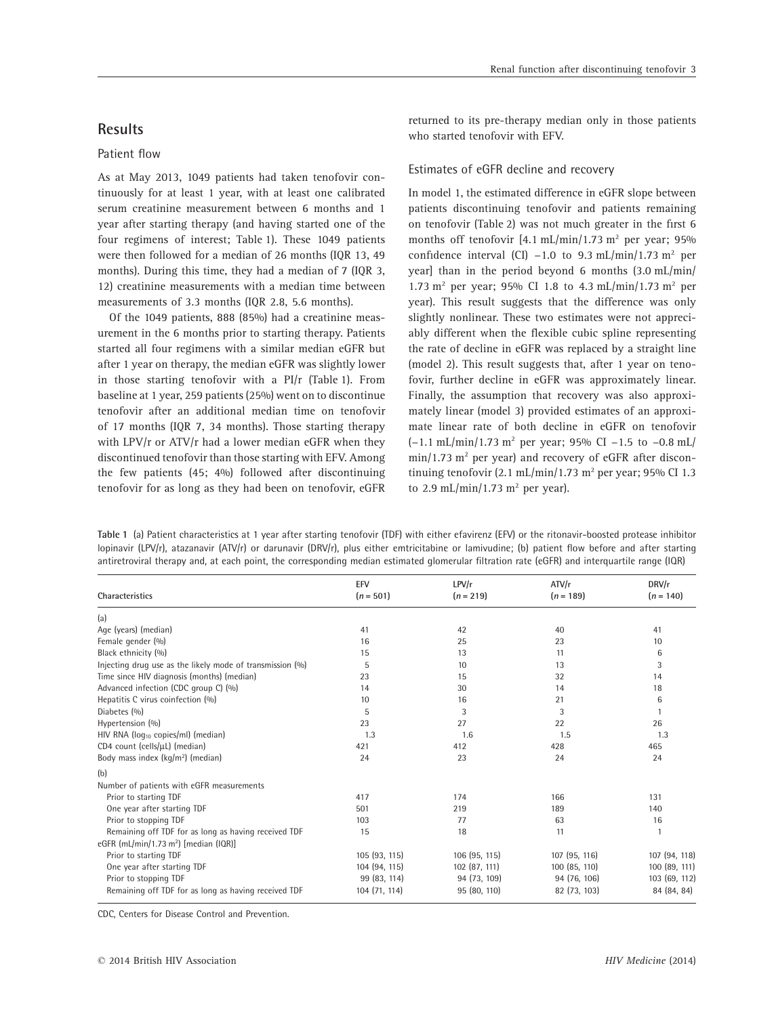## **Results**

#### Patient flow

As at May 2013, 1049 patients had taken tenofovir continuously for at least 1 year, with at least one calibrated serum creatinine measurement between 6 months and 1 year after starting therapy (and having started one of the four regimens of interest; Table 1). These 1049 patients were then followed for a median of 26 months (IQR 13, 49 months). During this time, they had a median of 7 (IQR 3, 12) creatinine measurements with a median time between measurements of 3.3 months (IQR 2.8, 5.6 months).

Of the 1049 patients, 888 (85%) had a creatinine measurement in the 6 months prior to starting therapy. Patients started all four regimens with a similar median eGFR but after 1 year on therapy, the median eGFR was slightly lower in those starting tenofovir with a PI/r (Table 1). From baseline at 1 year, 259 patients (25%) went on to discontinue tenofovir after an additional median time on tenofovir of 17 months (IQR 7, 34 months). Those starting therapy with LPV/r or ATV/r had a lower median eGFR when they discontinued tenofovir than those starting with EFV. Among the few patients (45; 4%) followed after discontinuing tenofovir for as long as they had been on tenofovir, eGFR returned to its pre-therapy median only in those patients who started tenofovir with EFV.

#### Estimates of eGFR decline and recovery

In model 1, the estimated difference in eGFR slope between patients discontinuing tenofovir and patients remaining on tenofovir (Table 2) was not much greater in the first 6 months off tenofovir  $[4.1 \text{ mL/min}/1.73 \text{ m}^2$  per year; 95% confidence interval (CI)  $-1.0$  to 9.3 mL/min/1.73 m<sup>2</sup> per year] than in the period beyond 6 months (3.0 mL/min/ 1.73 m<sup>2</sup> per year; 95% CI 1.8 to 4.3 mL/min/1.73 m<sup>2</sup> per year). This result suggests that the difference was only slightly nonlinear. These two estimates were not appreciably different when the flexible cubic spline representing the rate of decline in eGFR was replaced by a straight line (model 2). This result suggests that, after 1 year on tenofovir, further decline in eGFR was approximately linear. Finally, the assumption that recovery was also approximately linear (model 3) provided estimates of an approximate linear rate of both decline in eGFR on tenofovir (−1.1 mL/min/1.73 m2 per year; 95% CI −1.5 to −0.8 mL/  $min/1.73$  m<sup>2</sup> per year) and recovery of eGFR after discontinuing tenofovir (2.1 mL/min/1.73 m<sup>2</sup> per year; 95% CI 1.3 to 2.9 mL/min/1.73  $m<sup>2</sup>$  per year).

**Table 1** (a) Patient characteristics at 1 year after starting tenofovir (TDF) with either efavirenz (EFV) or the ritonavir-boosted protease inhibitor lopinavir (LPV/r), atazanavir (ATV/r) or darunavir (DRV/r), plus either emtricitabine or lamivudine; (b) patient flow before and after starting antiretroviral therapy and, at each point, the corresponding median estimated glomerular filtration rate (eGFR) and interquartile range (IQR)

| <b>Characteristics</b>                                    | EFV<br>$(n = 501)$ | LPV/r<br>$(n = 219)$ | ATV/r<br>$(n = 189)$ | DRV/r<br>$(n = 140)$ |
|-----------------------------------------------------------|--------------------|----------------------|----------------------|----------------------|
|                                                           |                    |                      |                      |                      |
| (a)                                                       |                    |                      |                      |                      |
| Age (years) (median)                                      | 41                 | 42                   | 40                   | 41                   |
| Female gender (%)                                         | 16                 | 25                   | 23                   | 10                   |
| Black ethnicity (%)                                       | 15                 | 13                   | 11                   | 6                    |
| Injecting drug use as the likely mode of transmission (%) | 5                  | 10                   | 13                   | 3                    |
| Time since HIV diagnosis (months) (median)                | 23                 | 15                   | 32                   | 14                   |
| Advanced infection (CDC group C) (%)                      | 14                 | 30                   | 14                   | 18                   |
| Hepatitis C virus coinfection (%)                         | 10                 | 16                   | 21                   | 6                    |
| Diabetes (%)                                              | 5                  | 3                    | 3                    |                      |
| Hypertension (%)                                          | 23                 | 27                   | 22                   | 26                   |
| HIV RNA ( $log_{10}$ copies/ml) (median)                  | 1.3                | 1.6                  | 1.5                  | 1.3                  |
| CD4 count (cells/µL) (median)                             | 421                | 412                  | 428                  | 465                  |
| Body mass index $(kq/m2)$ (median)                        | 24                 | 23                   | 24                   | 24                   |
| (b)                                                       |                    |                      |                      |                      |
| Number of patients with eGFR measurements                 |                    |                      |                      |                      |
| Prior to starting TDF                                     | 417                | 174                  | 166                  | 131                  |
| One year after starting TDF                               | 501                | 219                  | 189                  | 140                  |
| Prior to stopping TDF                                     | 103                | 77                   | 63                   | 16                   |
| Remaining off TDF for as long as having received TDF      | 15                 | 18                   | 11                   |                      |
| eGFR (mL/min/1.73 m <sup>2</sup> ) [median (IQR)]         |                    |                      |                      |                      |
| Prior to starting TDF                                     | 105 (93, 115)      | 106 (95, 115)        | 107 (95, 116)        | 107 (94, 118)        |
| One year after starting TDF                               | 104 (94, 115)      | 102 (87, 111)        | 100 (85, 110)        | 100 (89, 111)        |
| Prior to stopping TDF                                     | 99 (83, 114)       | 94 (73, 109)         | 94 (76, 106)         | 103 (69, 112)        |
| Remaining off TDF for as long as having received TDF      | 104 (71, 114)      | 95 (80, 110)         | 82 (73, 103)         | 84 (84, 84)          |

CDC, Centers for Disease Control and Prevention.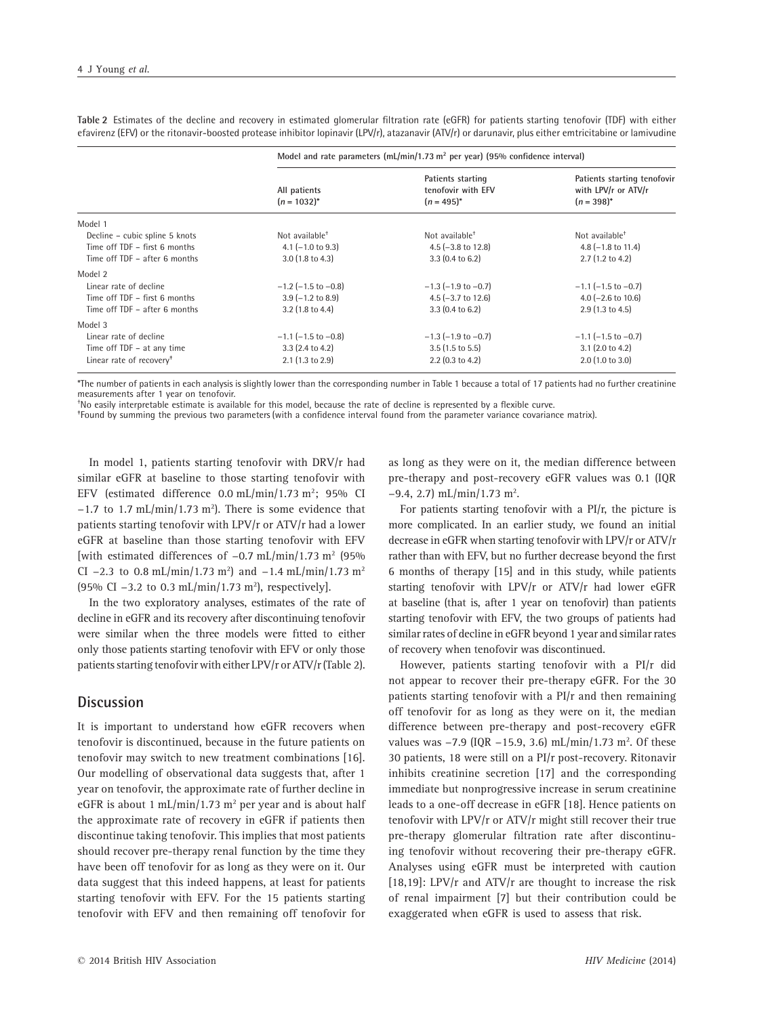|                                      | Model and rate parameters $(mL/min/1.73 \text{ m}^2 \text{ per year})$ (95% confidence interval) |                                                            |                                                                       |  |
|--------------------------------------|--------------------------------------------------------------------------------------------------|------------------------------------------------------------|-----------------------------------------------------------------------|--|
|                                      | All patients<br>$(n = 1032)^{*}$                                                                 | Patients starting<br>tenofovir with EFV<br>$(n = 495)^{*}$ | Patients starting tenofovir<br>with LPV/r or ATV/r<br>$(n = 398)^{*}$ |  |
| Model 1                              |                                                                                                  |                                                            |                                                                       |  |
| Decline - cubic spline 5 knots       | Not available <sup>+</sup>                                                                       | Not available <sup>+</sup>                                 | Not available <sup>+</sup>                                            |  |
| Time off TDF - first 6 months        | $4.1$ (-1.0 to 9.3)                                                                              | $4.5$ (-3.8 to 12.8)                                       | 4.8 $(-1.8 \text{ to } 11.4)$                                         |  |
| Time off TDF - after 6 months        | $3.0$ (1.8 to 4.3)                                                                               | $3.3(0.4 \text{ to } 6.2)$                                 | $2.7(1.2 \text{ to } 4.2)$                                            |  |
| Model 2                              |                                                                                                  |                                                            |                                                                       |  |
| Linear rate of decline               | $-1.2$ ( $-1.5$ to $-0.8$ )                                                                      | $-1.3$ ( $-1.9$ to $-0.7$ )                                | $-1.1$ ( $-1.5$ to $-0.7$ )                                           |  |
| Time off TDF - first 6 months        | $3.9$ ( $-1.2$ to 8.9)                                                                           | 4.5 $(-3.7)$ to 12.6                                       | 4.0 $(-2.6 \text{ to } 10.6)$                                         |  |
| Time off TDF - after 6 months        | $3.2$ (1.8 to 4.4)                                                                               | $3.3(0.4 \text{ to } 6.2)$                                 | $2.9(1.3 \text{ to } 4.5)$                                            |  |
| Model 3                              |                                                                                                  |                                                            |                                                                       |  |
| Linear rate of decline               | $-1.1$ ( $-1.5$ to $-0.8$ )                                                                      | $-1.3$ ( $-1.9$ to $-0.7$ )                                | $-1.1$ ( $-1.5$ to $-0.7$ )                                           |  |
| Time off TDF - at any time           | $3.3$ (2.4 to 4.2)                                                                               | $3.5(1.5 \text{ to } 5.5)$                                 | $3.1$ (2.0 to 4.2)                                                    |  |
| Linear rate of recovery <sup>+</sup> | $2.1$ (1.3 to 2.9)                                                                               | $2.2$ (0.3 to 4.2)                                         | $2.0$ (1.0 to 3.0)                                                    |  |

**Table 2** Estimates of the decline and recovery in estimated glomerular filtration rate (eGFR) for patients starting tenofovir (TDF) with either efavirenz (EFV) or the ritonavir-boosted protease inhibitor lopinavir (LPV/r), atazanavir (ATV/r) or darunavir, plus either emtricitabine or lamivudine

\*The number of patients in each analysis is slightly lower than the corresponding number in Table 1 because a total of 17 patients had no further creatinine measurements after 1 year on tenofovir.

† No easily interpretable estimate is available for this model, because the rate of decline is represented by a flexible curve.

‡ Found by summing the previous two parameters (with a confidence interval found from the parameter variance covariance matrix).

In model 1, patients starting tenofovir with DRV/r had similar eGFR at baseline to those starting tenofovir with EFV (estimated difference  $0.0 \text{ mL/min}/1.73 \text{ m}^2$ ; 95% CI  $-1.7$  to 1.7 mL/min/1.73 m<sup>2</sup>). There is some evidence that patients starting tenofovir with LPV/r or ATV/r had a lower eGFR at baseline than those starting tenofovir with EFV [with estimated differences of −0.7 mL/min/1.73 m2 (95% CI  $-2.3$  to 0.8 mL/min/1.73 m<sup>2</sup>) and  $-1.4$  mL/min/1.73 m<sup>2</sup> (95% CI -3.2 to 0.3 mL/min/1.73 m<sup>2</sup>), respectively].

In the two exploratory analyses, estimates of the rate of decline in eGFR and its recovery after discontinuing tenofovir were similar when the three models were fitted to either only those patients starting tenofovir with EFV or only those patients starting tenofovir with either LPV/r or ATV/r (Table 2).

## **Discussion**

It is important to understand how eGFR recovers when tenofovir is discontinued, because in the future patients on tenofovir may switch to new treatment combinations [16]. Our modelling of observational data suggests that, after 1 year on tenofovir, the approximate rate of further decline in eGFR is about 1 mL/min/1.73  $m^2$  per year and is about half the approximate rate of recovery in eGFR if patients then discontinue taking tenofovir. This implies that most patients should recover pre-therapy renal function by the time they have been off tenofovir for as long as they were on it. Our data suggest that this indeed happens, at least for patients starting tenofovir with EFV. For the 15 patients starting tenofovir with EFV and then remaining off tenofovir for as long as they were on it, the median difference between pre-therapy and post-recovery eGFR values was 0.1 (IQR  $-9.4$ , 2.7) mL/min/1.73 m<sup>2</sup>.

For patients starting tenofovir with a PI/r, the picture is more complicated. In an earlier study, we found an initial decrease in eGFR when starting tenofovir with LPV/r or ATV/r rather than with EFV, but no further decrease beyond the first 6 months of therapy [15] and in this study, while patients starting tenofovir with LPV/r or ATV/r had lower eGFR at baseline (that is, after 1 year on tenofovir) than patients starting tenofovir with EFV, the two groups of patients had similar rates of decline in eGFR beyond 1 year and similar rates of recovery when tenofovir was discontinued.

However, patients starting tenofovir with a PI/r did not appear to recover their pre-therapy eGFR. For the 30 patients starting tenofovir with a PI/r and then remaining off tenofovir for as long as they were on it, the median difference between pre-therapy and post-recovery eGFR values was -7.9 (IQR -15.9, 3.6) mL/min/1.73 m<sup>2</sup>. Of these 30 patients, 18 were still on a PI/r post-recovery. Ritonavir inhibits creatinine secretion [17] and the corresponding immediate but nonprogressive increase in serum creatinine leads to a one-off decrease in eGFR [18]. Hence patients on tenofovir with LPV/r or ATV/r might still recover their true pre-therapy glomerular filtration rate after discontinuing tenofovir without recovering their pre-therapy eGFR. Analyses using eGFR must be interpreted with caution [18,19]: LPV/r and ATV/r are thought to increase the risk of renal impairment [7] but their contribution could be exaggerated when eGFR is used to assess that risk.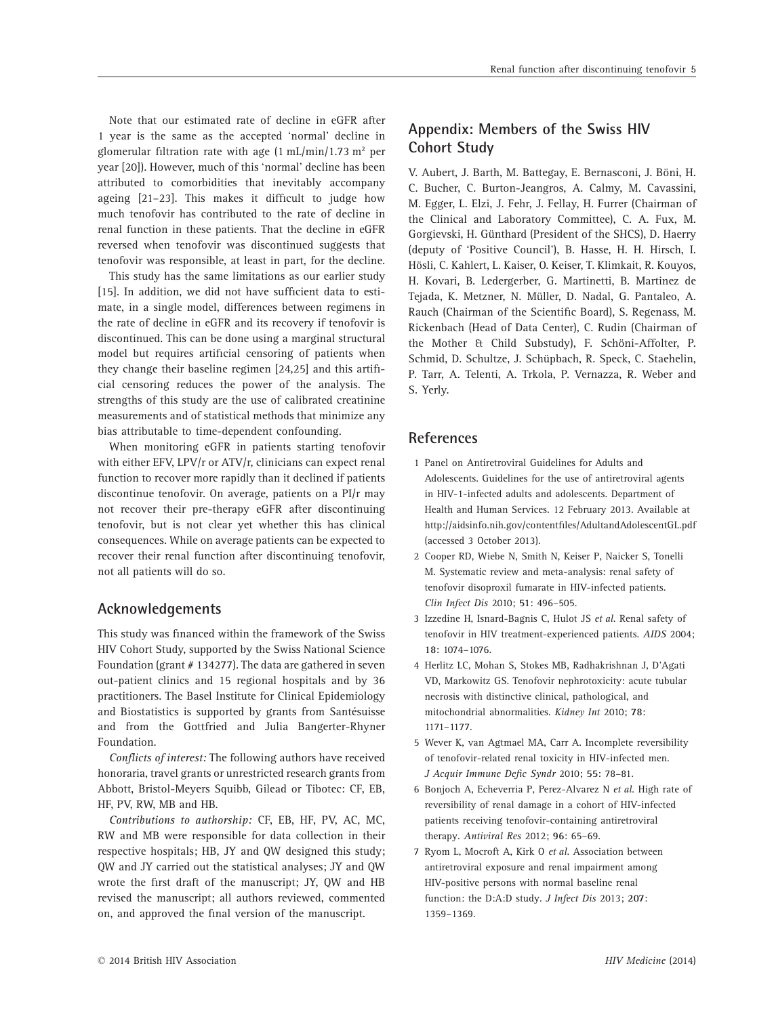Note that our estimated rate of decline in eGFR after 1 year is the same as the accepted 'normal' decline in glomerular filtration rate with age  $(1 \text{ mL/min}/1.73 \text{ m}^2 \text{ per})$ year [20]). However, much of this 'normal' decline has been attributed to comorbidities that inevitably accompany ageing [21–23]. This makes it difficult to judge how much tenofovir has contributed to the rate of decline in renal function in these patients. That the decline in eGFR reversed when tenofovir was discontinued suggests that tenofovir was responsible, at least in part, for the decline.

This study has the same limitations as our earlier study [15]. In addition, we did not have sufficient data to estimate, in a single model, differences between regimens in the rate of decline in eGFR and its recovery if tenofovir is discontinued. This can be done using a marginal structural model but requires artificial censoring of patients when they change their baseline regimen [24,25] and this artificial censoring reduces the power of the analysis. The strengths of this study are the use of calibrated creatinine measurements and of statistical methods that minimize any bias attributable to time-dependent confounding.

When monitoring eGFR in patients starting tenofovir with either EFV, LPV/r or ATV/r, clinicians can expect renal function to recover more rapidly than it declined if patients discontinue tenofovir. On average, patients on a PI/r may not recover their pre-therapy eGFR after discontinuing tenofovir, but is not clear yet whether this has clinical consequences. While on average patients can be expected to recover their renal function after discontinuing tenofovir, not all patients will do so.

### **Acknowledgements**

This study was financed within the framework of the Swiss HIV Cohort Study, supported by the Swiss National Science Foundation (grant # 134277). The data are gathered in seven out-patient clinics and 15 regional hospitals and by 36 practitioners. The Basel Institute for Clinical Epidemiology and Biostatistics is supported by grants from Santésuisse and from the Gottfried and Julia Bangerter-Rhyner Foundation.

*Conflicts of interest:* The following authors have received honoraria, travel grants or unrestricted research grants from Abbott, Bristol-Meyers Squibb, Gilead or Tibotec: CF, EB, HF, PV, RW, MB and HB.

*Contributions to authorship:* CF, EB, HF, PV, AC, MC, RW and MB were responsible for data collection in their respective hospitals; HB, JY and QW designed this study; QW and JY carried out the statistical analyses; JY and QW wrote the first draft of the manuscript; JY, QW and HB revised the manuscript; all authors reviewed, commented on, and approved the final version of the manuscript.

## **Appendix: Members of the Swiss HIV Cohort Study**

V. Aubert, J. Barth, M. Battegay, E. Bernasconi, J. Böni, H. C. Bucher, C. Burton-Jeangros, A. Calmy, M. Cavassini, M. Egger, L. Elzi, J. Fehr, J. Fellay, H. Furrer (Chairman of the Clinical and Laboratory Committee), C. A. Fux, M. Gorgievski, H. Günthard (President of the SHCS), D. Haerry (deputy of 'Positive Council'), B. Hasse, H. H. Hirsch, I. Hösli, C. Kahlert, L. Kaiser, O. Keiser, T. Klimkait, R. Kouyos, H. Kovari, B. Ledergerber, G. Martinetti, B. Martinez de Tejada, K. Metzner, N. Müller, D. Nadal, G. Pantaleo, A. Rauch (Chairman of the Scientific Board), S. Regenass, M. Rickenbach (Head of Data Center), C. Rudin (Chairman of the Mother & Child Substudy), F. Schöni-Affolter, P. Schmid, D. Schultze, J. Schüpbach, R. Speck, C. Staehelin, P. Tarr, A. Telenti, A. Trkola, P. Vernazza, R. Weber and S. Yerly.

## **References**

- 1 Panel on Antiretroviral Guidelines for Adults and Adolescents. Guidelines for the use of antiretroviral agents in HIV-1-infected adults and adolescents. Department of Health and Human Services. 12 February 2013. Available at <http://aidsinfo.nih.gov/contentfiles/AdultandAdolescentGL.pdf> (accessed 3 October 2013).
- 2 Cooper RD, Wiebe N, Smith N, Keiser P, Naicker S, Tonelli M. Systematic review and meta-analysis: renal safety of tenofovir disoproxil fumarate in HIV-infected patients. *Clin Infect Dis* 2010; **51**: 496–505.
- 3 Izzedine H, Isnard-Bagnis C, Hulot JS *et al*. Renal safety of tenofovir in HIV treatment-experienced patients. *AIDS* 2004; **18**: 1074–1076.
- 4 Herlitz LC, Mohan S, Stokes MB, Radhakrishnan J, D'Agati VD, Markowitz GS. Tenofovir nephrotoxicity: acute tubular necrosis with distinctive clinical, pathological, and mitochondrial abnormalities. *Kidney Int* 2010; **78**: 1171–1177.
- 5 Wever K, van Agtmael MA, Carr A. Incomplete reversibility of tenofovir-related renal toxicity in HIV-infected men. *J Acquir Immune Defic Syndr* 2010; **55**: 78–81.
- 6 Bonjoch A, Echeverria P, Perez-Alvarez N *et al*. High rate of reversibility of renal damage in a cohort of HIV-infected patients receiving tenofovir-containing antiretroviral therapy. *Antiviral Res* 2012; **96**: 65–69.
- 7 Ryom L, Mocroft A, Kirk O *et al*. Association between antiretroviral exposure and renal impairment among HIV-positive persons with normal baseline renal function: the D:A:D study. *J Infect Dis* 2013; **207**: 1359–1369.